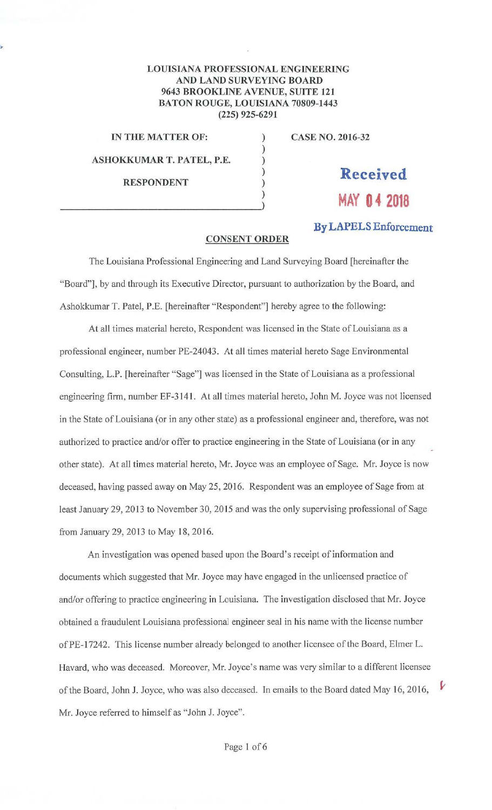## **LOUISIANA PROFESSIONAL ENGINEERING AND LAND SURVEYING BOARD 9643 BROOKLINE A VENUE, SUITE 121 BATON ROUGE, LOUISIANA 70809-1443 (225) 925-6291**

) ) ) )

**IN THE MATTER OF:** )

**ASHOKKUMAR T. PATEL, P.E.** 

 $\begin{pmatrix} 0 & 1 \\ 0 & 1 \end{pmatrix}$ 

**RESPONDENT** 

**CASE NO. 2016-32** 

**Received MAY 04 2018** 

**By LAPELS Enforcement** 

V

## **CONSENT ORDER**

The Louisiana Professional Engineering and Land Surveying Board [hereinafter the "Board"], by and through its Executive Director, pursuant to authorization by the Board, and Ashokkumar T. Patel, P.E. [hereinafter "Respondent"] hereby agree to the following:

At all times material hereto, Respondent was licensed in the State of Louisiana as a professional engineer, number PE-24043. At all times material hereto Sage Environmental Consulting, L.P. [hereinafter "Sage"] was licensed in the State of Louisiana as a professional engineering firm, number EF-3141 . At all times material hereto, John M. Joyce was not licensed in the State of Louisiana (or in any other state) as a professional engineer and, therefore, was not authorized to practice and/or offer to practice engineering in the State of Louisiana (or in any other state). At all times material hereto, Mr. Joyce was an employee of Sage. Mr. Joyce is now deceased, having passed away on May 25, 2016. Respondent was an employee of Sage from at least January 29, 2013 to November 30, 2015 and was the only supervising professional of Sage from January 29, 2013 to May 18, 2016.

An investigation was opened based upon the Board's receipt of information and documents which suggested that Mr. Joyce may have engaged in the unlicensed practice of and/or offering to practice engineering in Louisiana. The investigation disclosed that Mr. Joyce obtained a fraudulent Louisiana professional engineer seal in his name with the license number of PE-17242. This license number already belonged to another licensee of the Board, Elmer L. Havard, who was deceased. Moreover, Mr. Joyce's name was very similar to a different licensee of the Board, John J. Joyce, who was also deceased. In emails to the Board dated May 16, 2016, Mr. Joyce referred to himself as "John J. Joyce".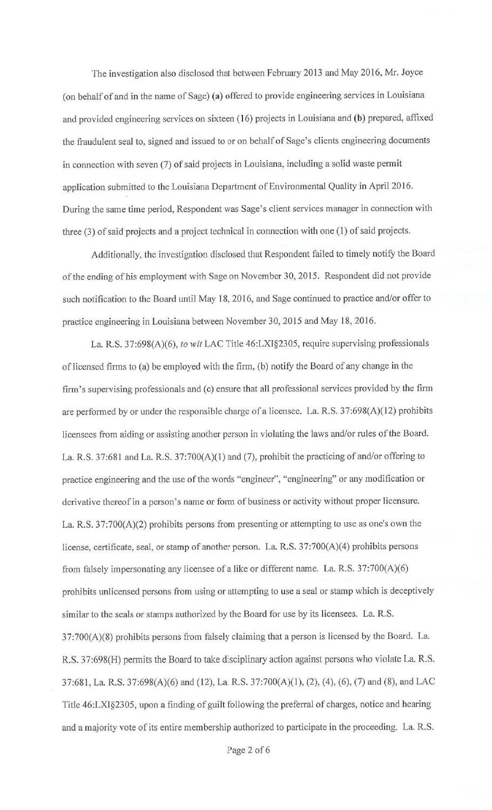The investigation also disclosed that between February 2013 and May 2016, Mr. Joyce ( on behalf of and in the name of Sage) **(a)** offered to provide engineering services in Louisiana and provided engineering services on sixteen (16) projects in Louisiana and **(b)** prepared, affixed the fraudulent seal to, signed and issued to or on behalf of Sage's clients engineering documents in connection with seven (7) of said projects in Louisiana, including a solid waste permit application submitted to the Louisiana Department of Environmental Quality in April 2016. During the same time period, Respondent was Sage's client services manager in connection with three (3) of said projects and a project technical in connection with one (1) of said projects.

Additionally, the investigation disclosed that Respondent failed to timely notify the Board of the ending of his employment with Sage on November 30, 2015. Respondent did not provide such notification to the Board until May 18, 2016, and Sage continued to practice and/or offer to practice engineering in Louisiana between November 30, 2015 and May 18, 2016.

La. R.S. 37:698(A)(6), *to wit* LAC Title 46:LXI§2305, require supervising professionals of licensed firms to (a) be employed with the firm, (b) notify the Board of any change in the firm's supervising professionals and (c) ensure that all professional services provided by the firm are performed by or under the responsible charge of a licensee. La. R.S. 37:698(A)(l2) prohibits licensees from aiding or assisting another person in violating the laws and/or rules of the Board. La. R.S. 37:681 and La. R.S. 37:700(A)(l) and (7), prohibit the practicing of and/or offering to practice engineering and the use of the words "engineer", "engineering" or any modification or derivative thereof in a person's name or form of business or activity without proper licensure. La. R.S. 37:700(A)(2) prohibits persons from presenting or attempting to use as one's own the license, certificate, seal, or stamp of another person. La. R.S. 37:700(A)(4) prohibits persons from falsely impersonating any licensee of a like or different name. La. R.S. 37:700(A)(6) prohibits unlicensed persons from using or attempting to use a seal or stamp which is deceptively similar to the seals or stamps authorized by the Board for use by its licensees. La. R.S. 37:700(A)(8) prohibits persons from falsely claiming that a person is licensed by the Board. La. R.S. 37:698(H) permits the Board to take disciplinary action against persons who violate La. R.S. 37:681, La. R.S. 37:698(A)(6) and (12), La. R.S. 37:700(A)(l), (2), (4), (6), (7) and (8), and LAC Title 46:LXI§2305, upon a finding of guilt following the preferral of charges, notice and hearing and a majority vote of its entire membership authorized to participate in the proceeding. La. R.S.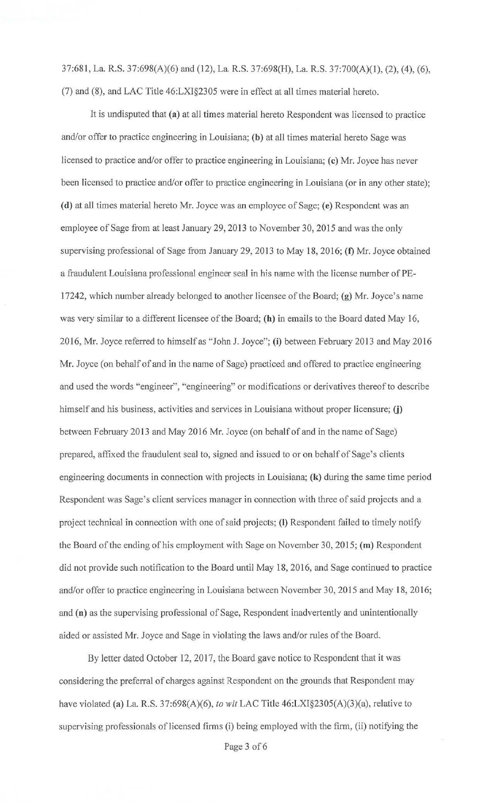37:681, La R.S. 37:698(A)(6) and (12), La. R.S. 37:698(H), La. R.S. 37:700(A)(l), (2), (4), (6), (7) and (8), and LAC Title 46:LXI§2305 were in effect at all times material hereto.

It is undisputed that **(a)** at all times material hereto Respondent was licensed to practice and/or offer to practice engineering in Louisiana; **(b)** at all times material hereto Sage was licensed to practice and/or offer to practice engineering in Louisiana; **(c)** Mr. Joyce has never been licensed to practice and/or offer to practice engineering in Louisiana (or in any other state); **(d)** at all times material hereto Mr. Joyce was an employee of Sage; **(e)** Respondent was an employee of Sage from at least January 29, 2013 to November 30, 2015 and was the only supervising professional of Sage from January 29, 2013 to May 18, 2016; **(t)** Mr. Joyce obtained a fraudulent Louisiana professional engineer seal in his name with the license number of PE-17242, which number already belonged to another licensee of the Board; (g) Mr. Joyce's name was very similar to a different licensee of the Board; (h) in emails to the Board dated May 16, 2016, Mr. Joyce referred to himself as "John J. Joyce"; (i) between February 2013 and May 2016 Mr. Joyce (on behalf of and in the name of Sage) practiced and offered to practice engineering and used the words "engineer", "engineering" or modifications or derivatives thereof to describe himself and his business, activities and services in Louisiana without proper licensure; (j) between February 2013 and May 2016 Mr. Joyce (on behalf of and in the name of Sage) prepared, affixed the fraudulent seal to, signed and issued to or on behalf of Sage's clients engineering documents in connection with projects in Louisiana; **(k)** during the same time period Respondent was Sage's client services manager in connection with three of said projects and a project technical in connection with one of said projects; (I) Respondent failed to timely notify the Board of the ending of his employment with Sage on November 30, 2015; **(m)** Respondent did not provide such notification to the Board until May 18, 2016, and Sage continued to practice and/or offer to practice engineering in Louisiana between November 30, 2015 and May 18, 2016; and **(n)** as the supervising professional of Sage, Respondent inadvertently and unintentionally aided or assisted Mr. Joyce and Sage in violating the Jaws and/or rules of the Board.

By letter dated October 12, 2017, the Board gave notice to Respondent that it was considering the preferral of charges against Respondent on the grounds that Respondent may have violated **(a)** La. R.S. 37:698(A)(6), *to wit* LAC Title 46:LXI§2305(A)(3)(a), relative to supervising professionals of licensed firms (i) being employed with the firm, (ii) notifying the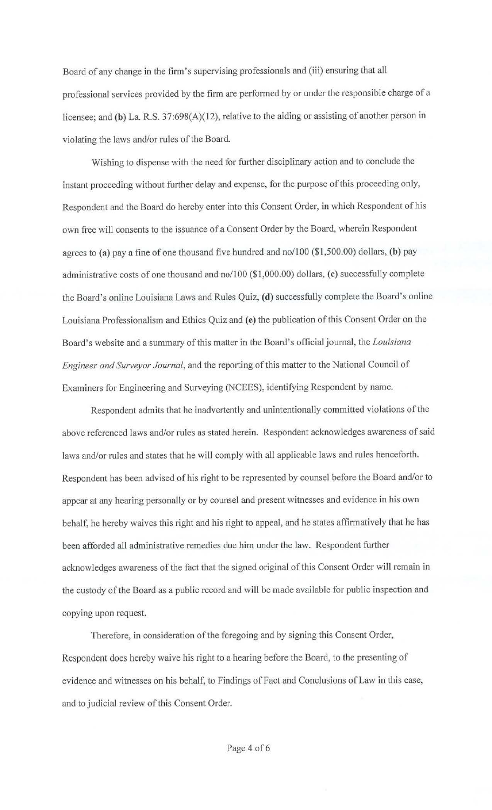Board of any change in the firm's supervising professionals and (iii) ensuring that all professional services provided by the firm are performed by or under the responsible charge of a licensee; and **(b)** La. R.S. 37:698(A)(12), relative to the aiding or assisting of another person in violating the laws and/or rules of the Board.

Wishing to dispense with the need for further disciplinary action and to conclude the instant proceeding without further delay and expense, for the purpose of this proceeding only, Respondent and the Board do hereby enter into this Consent Order, in which Respondent of his own free will consents to the issuance of a Consent Order by the Board, wherein Respondent agrees to **(a)** pay a fine of one thousand five hundred and no/100 (\$1,500.00) dollars, **(b)** pay administrative costs of one thousand and no/100 (\$1,000.00) dollars, ( **c)** successfully complete the Board's online Louisiana Laws and Rules Quiz, **(d)** successfully complete the Board's online Louisiana Professionalism and Ethics Quiz and **(e)** the publication of this Consent Order on the Board's website and a summary of this matter in the Board's official journal, the *Louisiana Engineer and Surveyor Journal*, and the reporting of this matter to the National Council of Examiners for Engineering and Surveying (NCEES), identifying Respondent by name.

Respondent admits that he inadvertently and unintentionally committed violations of the above referenced laws and/or rules as stated herein. Respondent acknowledges awareness of said laws and/or rules and states that he will comply with all applicable laws and rules henceforth. Respondent has been advised of his right to be represented by counsel before the Board and/or to appear at any hearing personally or by counsel and present witnesses and evidence in his own behalf, he hereby waives this right and his right to appeal, and he states affirmatively that he has been afforded all administrative remedies due him under the law. Respondent further acknowledges awareness of the fact that the signed original of this Consent Order will remain in the custody of the Board as a public record and will be made available for public inspection and copying upon request.

Therefore, in consideration of the foregoing and by signing this Consent Order, Respondent does hereby waive his right to a hearing before the Board; to the presenting of evidence and witnesses on his behalf, to Findings of Fact and Conclusions of Law in this case, and to judicial review of this Consent Order.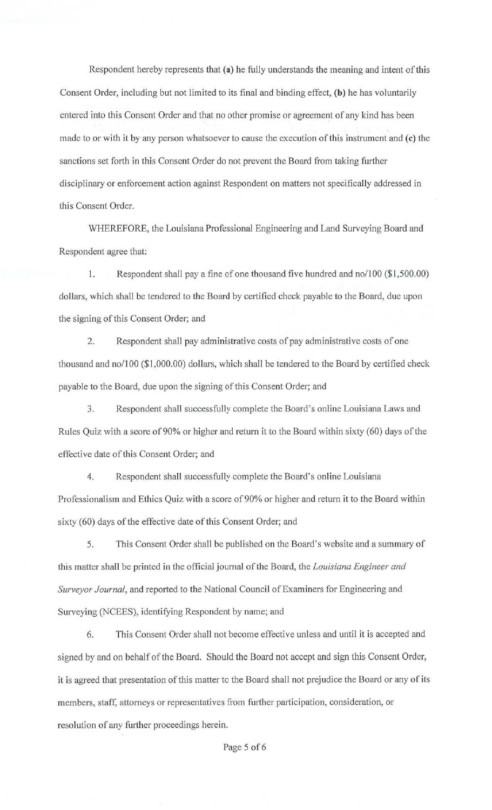Respondent hereby represents that (a) he fully understands the meaning and intent of this Consent Order, including but not limited to its final and binding effect, (b) he has voluntarily entered into this Consent Order and that no other promise or agreement of any kind has been made to or with it by any person whatsoever to cause the execution of this instrument and  $(c)$  the sanctions set forth in this Consent Order do not prevent the Board from taking further disciplinary or enforcement action against Respondent on matters not specifically addressed in this Consent Order.

WHEREFORE, the Louisiana Professional Engineering and Land Surveying Board and Respondent agree that:

1. Respondent shall pay a fine of one thousand five hundred and no/100 (\$1,500.00) dollars, which shall be tendered to the Board by certified check payable to the Board, due upon the signing of this Consent Order; and

2. Respondent shall pay administrative costs of pay administrative costs of one thousand and no/100 (\$1,000.00) dollars, which shall be tendered to the Board by certified check payable to the Board, due upon the signing of this Consent Order; and

3. Respondent shall successfully complete the Board's online Louisiana Laws and Rules Quiz with a score of 90% or higher and return it to the Board within sixty (60) days of the effective date of this Consent Order; and

4. Respondent shall successfully complete the Board's online Louisiana Professionalism and Ethics Quiz with a score of 90% or higher and return it to the Board within sixty (60) days of the effective date of this Consent Order; and

5. This Consent Order shall be published on the Board's website and a summary of this matter shall be printed in the official journal of the Board, the *Louisiana Engineer and Surveyor Journal*, and reported to the National Council of Examiners for Engineering and Surveying (NCEES), identifying Respondent by name; and

6. This Consent Order shall not become effective unless and until it is accepted and signed by and on behalf of the Board. Should the Board not accept and sign this Consent Order, it is agreed that presentation of this matter to the Board shall not prejudice the Board or any of its members, staff, attorneys or representatives from further participation, consideration, or resolution of any further proceedings herein.